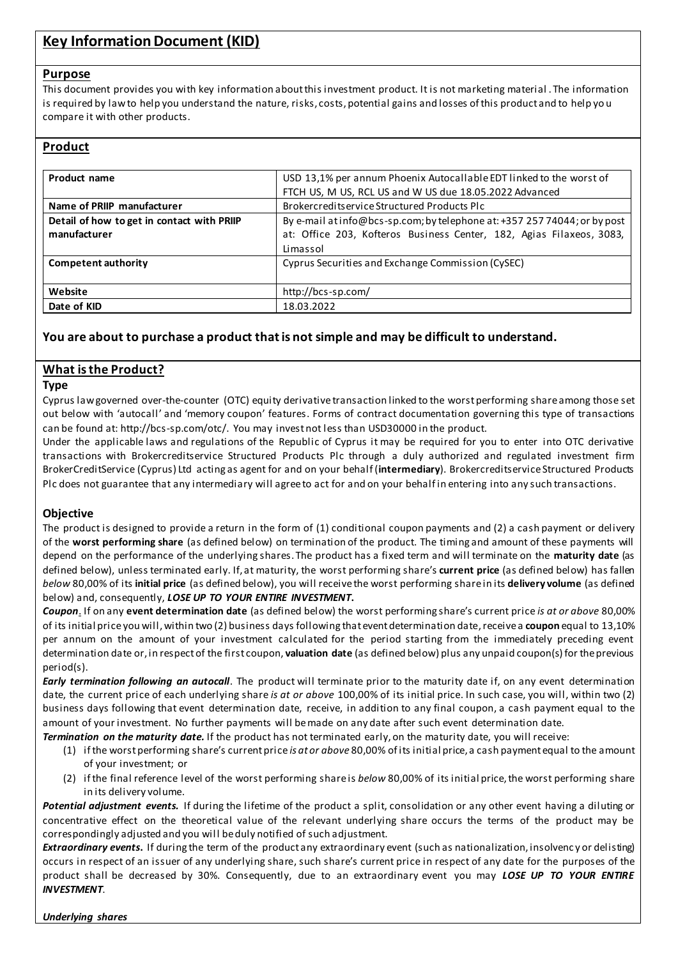# **Key Information Document (KID)**

#### **Purpose**

This document provides you with key information about this investment product. It is not marketing material . The information is required by law to help you understand the nature, risks, costs, potential gains and losses of this product and to help yo u compare it with other products.

### **Product**

| Product name                                               | USD 13,1% per annum Phoenix Autocallable EDT linked to the worst of<br>FTCH US, M US, RCL US and W US due 18.05.2022 Advanced                                 |
|------------------------------------------------------------|---------------------------------------------------------------------------------------------------------------------------------------------------------------|
| Name of PRIIP manufacturer                                 | Brokercreditservice Structured Products Plc                                                                                                                   |
| Detail of how to get in contact with PRIIP<br>manufacturer | By e-mail at info@bcs-sp.com; by telephone at: +357 257 74044; or by post<br>at: Office 203, Kofteros Business Center, 182, Agias Filaxeos, 3083,<br>Limassol |
| <b>Competent authority</b>                                 | Cyprus Securities and Exchange Commission (CySEC)                                                                                                             |
| Website                                                    | http://bcs-sp.com/                                                                                                                                            |
| Date of KID                                                | 18.03.2022                                                                                                                                                    |

# **You are about to purchase a product that is not simple and may be difficult to understand.**

# **What is the Product?**

#### **Type**

Cyprus law governed over-the-counter (OTC) equity derivative transaction linked to the worst performing shareamong those set out below with 'autocall' and 'memory coupon' features. Forms of contract documentation governing this type of transactions can be found at: http://bcs-sp.com/otc/. You may invest not less than USD30000 in the product.

Under the applicable laws and regulations of the Republic of Cyprus it may be required for you to enter into OTC derivative transactions with Brokercreditservice Structured Products Plc through a duly authorized and regulated investment firm BrokerCreditService (Cyprus) Ltd acting as agent for and on your behalf (**intermediary**). Brokercreditservice Structured Products Plc does not guarantee that any intermediary will agree to act for and on your behalf in entering into any such transactions.

#### **Objective**

The product is designed to provide a return in the form of (1) conditional coupon payments and (2) a cash payment or delivery of the **worst performing share** (as defined below) on termination of the product. The timing and amount of these payments will depend on the performance of the underlying shares. The product has a fixed term and will terminate on the **maturity date** (as defined below), unless terminated early. If, at maturity, the worst performing share's **current price** (as defined below) has fallen *below* 80,00% of its **initial price** (as defined below), you will receive the worst performing share in its **delivery volume** (as defined below) and, consequently, *LOSE UP TO YOUR ENTIRE INVESTMENT***.**

*Coupon*. If on any **event determination date** (as defined below) the worst performing share's current price *is at or above* 80,00% of its initial price you will, within two (2) business days following that event determination date, receive a **coupon** equal to 13,10% per annum on the amount of your investment calculated for the period starting from the immediately preceding event determination date or, in respect of the first coupon, **valuation date** (as defined below) plus any unpaid coupon(s) for the previous period(s).

*Early termination following an autocall*. The product will terminate prior to the maturity date if, on any event determination date, the current price of each underlying share *is at or above* 100,00% of its initial price. In such case, you will, within two (2) business days following that event determination date, receive, in addition to any final coupon, a cash payment equal to the amount of your investment. No further payments will be made on any date after such event determination date.

*Termination on the maturity date.* If the product has not terminated early, on the maturity date, you will receive:

- (1) if the worst performing share's current price *is at or above* 80,00% of its initial price, a cash payment equal to the amount of your investment; or
- (2) if the final reference level of the worst performing share is *below* 80,00% of its initial price, the worst performing share in its delivery volume.

*Potential adjustment events.* If during the lifetime of the product a split, consolidation or any other event having a diluting or concentrative effect on the theoretical value of the relevant underlying share occurs the terms of the product may be correspondingly adjusted and you wil l be duly notified of such adjustment.

*Extraordinary events***.** If during the term of the product any extraordinary event (such as nationalization, insolvenc y or delisting) occurs in respect of an issuer of any underlying share, such share's current price in respect of any date for the purposes of the product shall be decreased by 30%. Consequently, due to an extraordinary event you may *LOSE UP TO YOUR ENTIRE INVESTMENT*.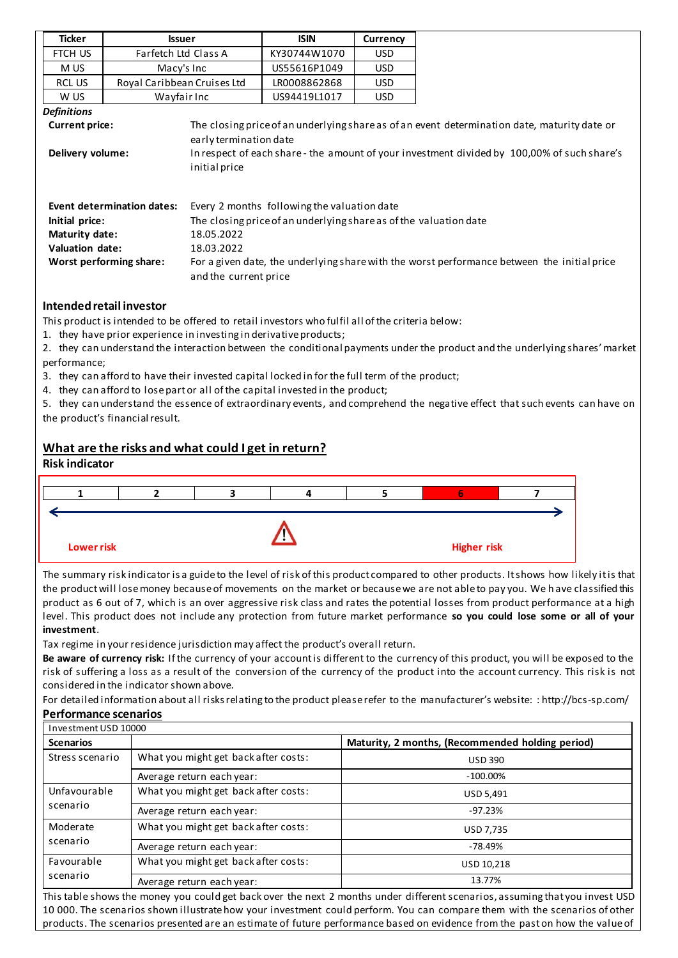| Ticker                                           | <b>Issuer</b>                     |                                         | <b>ISIN</b>                                                       | Currency                                                                                    |                                                                                                                                                                                             |
|--------------------------------------------------|-----------------------------------|-----------------------------------------|-------------------------------------------------------------------|---------------------------------------------------------------------------------------------|---------------------------------------------------------------------------------------------------------------------------------------------------------------------------------------------|
| FTCH US                                          | Farfetch Ltd Class A              |                                         | KY30744W1070                                                      | USD.                                                                                        |                                                                                                                                                                                             |
| M US                                             | Macy's Inc                        |                                         | US55616P1049                                                      | <b>USD</b>                                                                                  |                                                                                                                                                                                             |
| RCL US                                           | Royal Caribbean Cruises Ltd       |                                         | LR0008862868                                                      | USD.                                                                                        |                                                                                                                                                                                             |
| W US                                             | Wayfair Inc                       |                                         | US94419L1017                                                      | <b>USD</b>                                                                                  |                                                                                                                                                                                             |
| <b>Definitions</b>                               |                                   |                                         |                                                                   |                                                                                             |                                                                                                                                                                                             |
| <b>Current price:</b><br>Delivery volume:        |                                   | early termination date<br>initial price |                                                                   |                                                                                             | The closing price of an underlying share as of an event determination date, maturity date or<br>In respect of each share - the amount of your investment divided by 100,00% of such share's |
|                                                  | <b>Event determination dates:</b> |                                         | Every 2 months following the valuation date                       |                                                                                             |                                                                                                                                                                                             |
| Initial price:                                   |                                   |                                         | The closing price of an underlying share as of the valuation date |                                                                                             |                                                                                                                                                                                             |
| Maturity date:                                   |                                   | 18.05.2022                              |                                                                   |                                                                                             |                                                                                                                                                                                             |
| Valuation date:<br>18.03.2022                    |                                   |                                         |                                                                   |                                                                                             |                                                                                                                                                                                             |
| Worst performing share:<br>and the current price |                                   |                                         |                                                                   | For a given date, the underlying share with the worst performance between the initial price |                                                                                                                                                                                             |

### **Intended retail investor**

This product is intended to be offered to retail investors who fulfil all of the criteria below:

1. they have prior experience in investing in derivative products;

2. they can understand the interaction between the conditional payments under the product and the underlying shares' market performance;

- 3. they can afford to have their invested capital locked in for the full term of the product;
- 4. they can afford to lose part or all of the capital invested in the product;

5. they can understand the essence of extraordinary events, and comprehend the negative effect that such events can have on the product's financial result.

# **What are the risks and what could I get in return?**

#### **Risk indicator**



The summary risk indicator is a guide to the level of risk of this product compared to other products. It shows how likely it is that the product will lose money because of movements on the market or because we are not able to pay you. We h ave classified this product as 6 out of 7, which is an over aggressive risk class and rates the potential losses from product performance at a high level. This product does not include any protection from future market performance **so you could lose some or all of your investment**.

Tax regime in your residence jurisdiction may affect the product's overall return.

**Be aware of currency risk:** If the currency of your account is different to the currency of this product, you will be exposed to the risk of suffering a loss as a result of the conversion of the currency of the product into the account currency. This risk is not considered in the indicator shown above.

For detailed information about all risks relating to the product please refer to the manufacturer's website: : http://bcs-sp.com/

#### **Performance scenarios**

| Investment USD 10000     |                                      |                                                  |
|--------------------------|--------------------------------------|--------------------------------------------------|
| <b>Scenarios</b>         |                                      | Maturity, 2 months, (Recommended holding period) |
| Stress scenario          | What you might get back after costs: | <b>USD 390</b>                                   |
|                          | Average return each year:            | $-100.00\%$                                      |
| Unfavourable<br>scenario | What you might get back after costs: | USD 5,491                                        |
|                          | Average return each year:            | $-97.23%$                                        |
| Moderate                 | What you might get back after costs: | <b>USD 7,735</b>                                 |
| scenario                 | Average return each year:            | $-78.49%$                                        |
| Favourable<br>scenario   | What you might get back after costs: | USD 10.218                                       |
|                          | Average return each year:            | 13.77%                                           |

This table shows the money you could get back over the next 2 months under different scenarios, assuming that you invest USD 10 000. The scenarios shown illustrate how your investment could perform. You can compare them with the scenarios of other products. The scenarios presented are an estimate of future performance based on evidence from the past on how the value of